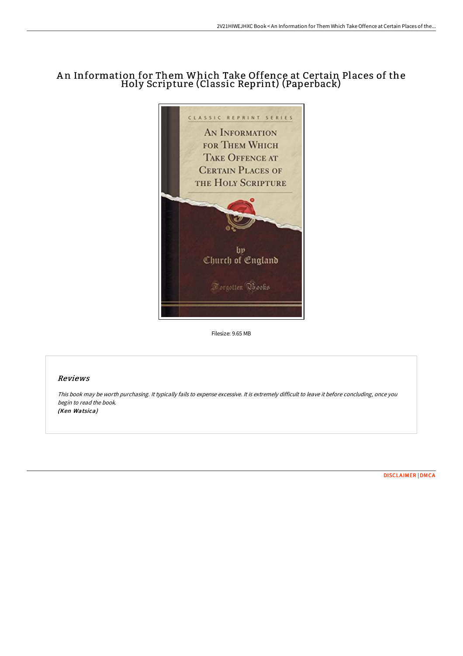## A n Information for Them Which Take Offence at Certain Places of the Holy Scripture (Classic Reprint) (Paperback)



Filesize: 9.65 MB

## Reviews

This book may be worth purchasing. It typically fails to expense excessive. It is extremely difficult to leave it before concluding, once you begin to read the book. (Ken Watsica)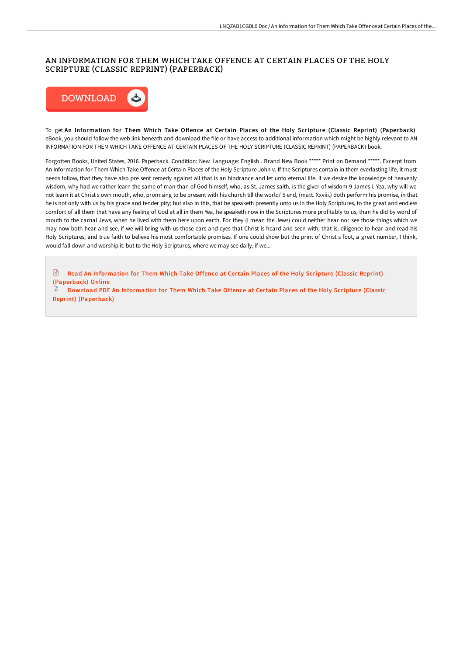## AN INFORMATION FOR THEM WHICH TAKE OFFENCE AT CERTAIN PLACES OF THE HOLY SCRIPTURE (CLASSIC REPRINT) (PAPERBACK)



To get An Information for Them Which Take Offence at Certain Places of the Holy Scripture (Classic Reprint) (Paperback) eBook, you should follow the web link beneath and download the file or have access to additional information which might be highly relevant to AN INFORMATION FOR THEM WHICH TAKE OFFENCE AT CERTAIN PLACES OF THE HOLY SCRIPTURE (CLASSIC REPRINT) (PAPERBACK) book.

Forgotten Books, United States, 2016. Paperback. Condition: New. Language: English . Brand New Book \*\*\*\*\* Print on Demand \*\*\*\*\*. Excerpt from An Information for Them Which Take Offence at Certain Places of the Holy Scripture John v. If the Scriptures contain in them everlasting life, it must needs follow, that they have also pre sent remedy against all that is an hindrance and let unto eternal life. If we desire the knowledge of heavenly wisdom, why had we rather learn the same of man than of God himself, who, as St. James saith, is the giver of wisdom 9 James i. Yea, why will we not learn it at Christ s own mouth, who, promising to be present with his church till the world/ 5 end, (matt. Xxviii.) doth perform his promise, in that he is not only with us by his grace and tender pity; but also in this, that he speaketh presently unto us in the Holy Scriptures, to the great and endless comfort of all them that have any feeling of God at all in them Yea, he speaketh now in the Scriptures more profitably to us, than he did by word of mouth to the carnal Jews, when he lived with them here upon earth. For they (i mean the Jews) could neither hear nor see those things which we may now both hear and see, if we will bring with us those ears and eyes that Christ is heard and seen with; that is, diligence to hear and read his Holy Scriptures, and true faith to believe his most comfortable promises. If one could show but the print of Christ s foot, a great number, I think, would fall down and worship it: but to the Holy Scriptures, where we may see daily, if we...

 $F(t)$ Read An Information for Them Which Take Offence at Certain Places of the Holy Scripture (Classic Reprint) [\(Paperback\)](http://techno-pub.tech/an-information-for-them-which-take-offence-at-ce.html) Online

Download PDF An Information for Them Which Take Offence at Certain Places of the Holy Scripture (Classic Reprint) [\(Paperback\)](http://techno-pub.tech/an-information-for-them-which-take-offence-at-ce.html)